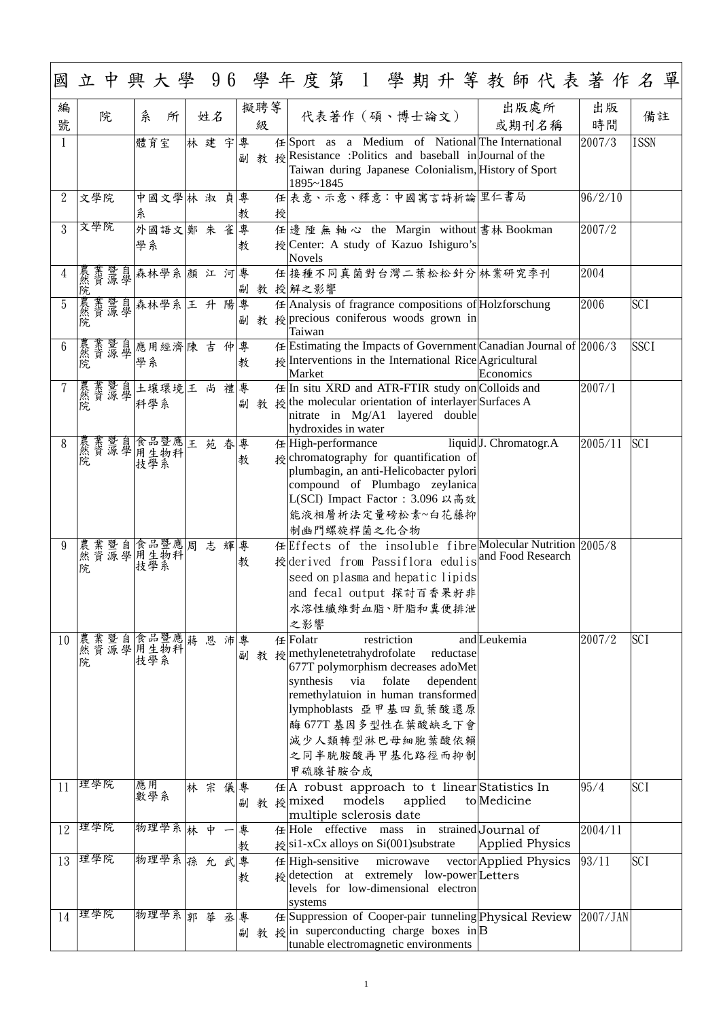| 編<br>號          | 院                                             | 糸<br>所          | 姓名   |    |        | 擬聘等<br>級 |   |                                                                                                                                                                                                                                                       | 代表著作 (碩、博士論文) |        |             |         |                        |                                     | 出版處所 | 或期刊名稱 | 出版<br>時間                                                             |             | 備註 |
|-----------------|-----------------------------------------------|-----------------|------|----|--------|----------|---|-------------------------------------------------------------------------------------------------------------------------------------------------------------------------------------------------------------------------------------------------------|---------------|--------|-------------|---------|------------------------|-------------------------------------|------|-------|----------------------------------------------------------------------|-------------|----|
|                 |                                               | 體育室             | 林建宇  |    | 專<br>副 |          |   | 任 Sport as a Medium of National The International<br>教 授 Resistance : Politics and baseball in Journal of the<br>Taiwan during Japanese Colonialism, History of Sport<br>1895~1845                                                                    |               |        |             |         |                        |                                     |      |       | 2007/3                                                               | <b>ISSN</b> |    |
| $\overline{2}$  | 文學院                                           | 中國文學林 淑 貞專<br>糸 |      |    | 教      |          | 授 | 任表意、示意、釋意:中國寓言詩析論 里仁書局                                                                                                                                                                                                                                |               |        |             |         |                        |                                     |      |       | 96/2/10                                                              |             |    |
| $\mathfrak{Z}$  | 文學院                                           | 外國語文 鄭朱雀 <br>學系 |      |    | 專<br>教 |          |   | 任 邊 陲 無 軸 心 the Margin without 書林 Bookman<br>授 Center: A study of Kazuo Ishiguro's<br><b>Novels</b>                                                                                                                                                   |               |        |             |         |                        |                                     |      |       | 2007/2                                                               |             |    |
| $\overline{4}$  | 農業暨自森林學系 顏 江 河 專<br>然資源學                      |                 |      |    |        |          |   | 任接種不同真菌對台灣二葉松松針分林業研究季刊<br>副 教 授解之影響                                                                                                                                                                                                                   |               |        |             |         |                        |                                     |      |       | 2004                                                                 |             |    |
| 5               | 農然院                                           | 業暨自森林學系 王升陽專    |      |    | 副      | 教        |   | $\#$ Analysis of fragrance compositions of Holzforschung<br>$\frac{1}{2}$ precious coniferous woods grown in<br>Taiwan                                                                                                                                |               |        |             |         |                        |                                     |      |       | 2006                                                                 | <b>SCI</b>  |    |
| $6\phantom{.}6$ | 農業暨自應用經濟陳 吉<br>然資源學<br>院 學系                   |                 |      | 仲專 | 教      |          |   | 授 Interventions in the International Rice Agricultural<br>Market                                                                                                                                                                                      |               |        |             |         |                        | Economics                           |      |       | $\#$ Estimating the Impacts of Government Canadian Journal of 2006/3 | <b>SSCI</b> |    |
|                 | 農業暨自<br>然資源學                                  | 土壤環境 王尚<br>科學系  |      | 禮專 |        |          |   | 任 In situ XRD and ATR-FTIR study on Colloids and<br>副 教 授 the molecular orientation of interlayer Surfaces A<br>$\left  \right $ nitrate in Mg/A1 layered double<br>hydroxides in water                                                               |               |        |             |         |                        |                                     |      |       | 2007/1                                                               |             |    |
| 8               | 農業暨自食品暨應王苑春專<br>院                             | 技學系             |      |    | 教      |          |   | 任 High-performance<br>$\frac{1}{2}$ chromatography for quantification of<br>plumbagin, an anti-Helicobacter pylori<br>compound of Plumbago zeylanica<br>L(SCI) Impact Factor: 3.096 以高效<br>能液相層析法定量磅松素~白花藤抑<br>制幽門螺旋桿菌之化合物                            |               |        |             |         |                        | liquid <sup>[J.</sup> Chromatogr.A] |      |       | 2005/11                                                              | <b>SCI</b>  |    |
| 9               | 農業暨自會品暨應  周<br> 然資學  用生物科 <br> 院    技學系 <br>院 |                 | 志 輝專 |    | 教      |          |   | 授derived from Passiflora edulis <sup>and Food Research</sup><br>seed on plasma and hepatic lipids<br>and fecal output 探討百香果籽非<br>水溶性纖維對血脂、肝脂和糞便排泄<br>之影響                                                                                              |               |        |             |         |                        |                                     |      |       | 任Effects of the insoluble fibre Molecular Nutrition 2005/8           |             |    |
| 10              | 農業暨自食品暨應 蔣<br>然資源學用生物科<br>院 技學系<br>院          |                 | 恩    | 沛專 |        |          |   | 任Folatr<br>副 教 授 methylenetetrahydrofolate<br>677T polymorphism decreases adoMet<br>synthesis via folate<br>remethylatuion in human transformed<br> lymphoblasts 亞甲基四氫葉酸還原 <br> 酶 677T 基因多型性在葉酸缺乏下會 <br>減少人類轉型淋巴母細胞葉酸依賴<br>之同半胱胺酸再甲基化路徑而抑制<br>甲硫腺苷胺合成 |               |        | restriction |         | reductase<br>dependent | and Leukemia                        |      |       | 2007/2                                                               | <b>SCI</b>  |    |
| 11              | 理學院                                           | 應用<br>數學系       | 林宗儀專 |    |        |          |   | 任  A robust approach to t linear  Statistics In<br>副 教 授 mixed<br>multiple sclerosis date                                                                                                                                                             |               | models |             | applied |                        | to Medicine                         |      |       | 95/4                                                                 | <b>SCI</b>  |    |
|                 | 12 理學院                                        | 物理學系 林 中        |      | 一專 | 教      |          |   | 任 Hole effective mass in strained Journal of<br>$\frac{1}{2}$ si1-xCx alloys on Si(001) substrate                                                                                                                                                     |               |        |             |         |                        | Applied Physics                     |      |       | 2004/11                                                              |             |    |
| 13              | 理學院                                           | 物理學系 孫 允        |      | 武  | 專<br>教 |          |   | $#$ High-sensitive<br>授 detection at extremely low-power Letters<br>levels for low-dimensional electron<br>systems                                                                                                                                    |               |        | microwave   |         |                        | vector Applied Physics              |      |       | 93/11                                                                | <b>SCI</b>  |    |
| 14              | 理學院                                           | 物理學系            | 郭華   | 丞專 |        | 副教       |   | 任 Suppression of Cooper-pair tunneling Physical Review<br>$\frac{1}{2}$ in superconducting charge boxes in B<br>tunable electromagnetic environments                                                                                                  |               |        |             |         |                        |                                     |      |       | 2007/JAN                                                             |             |    |

1